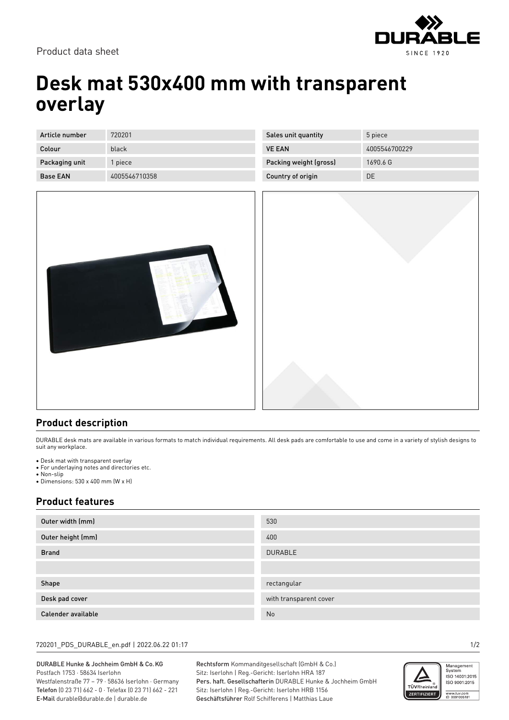

Product data sheet

# **Desk mat 530x400 mm with transparent overlay**

| Article number  | 720201        |
|-----------------|---------------|
| Colour          | black         |
| Packaging unit  | 1 piece       |
| <b>Base EAN</b> | 4005546710358 |

| $\sim$<br>ź |
|-------------|
|             |

| Sales unit quantity    | 5 piece       |
|------------------------|---------------|
| <b>VE FAN</b>          | 4005546700229 |
| Packing weight (gross) | 1690.6 G      |
| Country of origin      | DΕ            |



#### **Product description**

DURABLE desk mats are available in various formats to match individual requirements. All desk pads are comfortable to use and come in a variety of stylish designs to suit any workplace.

• Desk mat with transparent overlay

- For underlaying notes and directories etc. • Non-slip
- Dimensions: 530 x 400 mm (W x H)

### **Product features**

| Outer width (mm)   | 530                    |
|--------------------|------------------------|
| Outer height (mm)  | 400                    |
| <b>Brand</b>       | <b>DURABLE</b>         |
|                    |                        |
| Shape              | rectangular            |
| Desk pad cover     | with transparent cover |
| Calender available | <b>No</b>              |

#### 720201\_PDS\_DURABLE\_en.pdf | 2022.06.22 01:17 1/2

DURABLE Hunke & Jochheim GmbH & Co.KG Postfach 1753 · 58634 Iserlohn Westfalenstraße 77 – 79 · 58636 Iserlohn · Germany Telefon (0 23 71) 662 - 0 · Telefax (0 23 71) 662 - 221 E-Mail durable@durable.de | durable.de

Rechtsform Kommanditgesellschaft (GmbH & Co.) Sitz: Iserlohn | Reg.-Gericht: Iserlohn HRA 187 Pers. haft. Gesellschafterin DURABLE Hunke & Jochheim GmbH Sitz: Iserlohn | Reg.-Gericht: Iserlohn HRB 1156 Geschäftsführer Rolf Schifferens | Matthias Laue